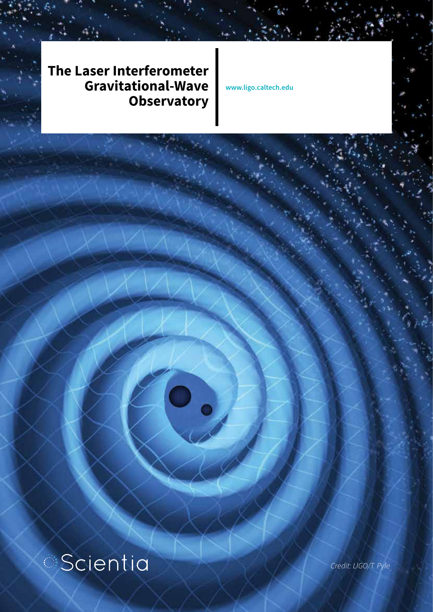**The Laser Interferometer Gravitational-Wave Observatory**

**www.ligo.caltech.edu**

# **Scientia**

*Credit: LIGO/T. Pyle*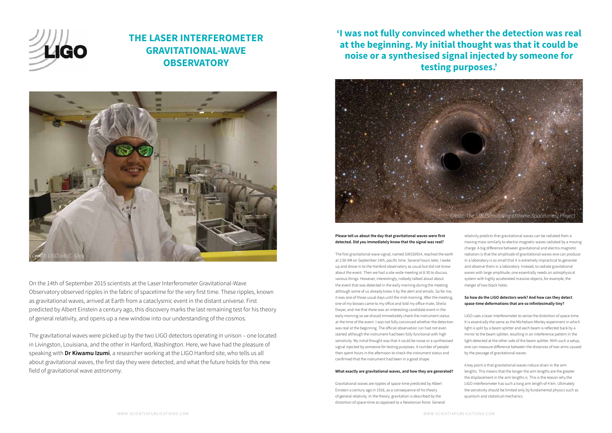On the 14th of September 2015 scientists at the Laser Interferometer Gravitational-Wave Observatory observed ripples in the fabric of spacetime for the very first time. These ripples, known as gravitational waves, arrived at Earth from a cataclysmic event in the distant universe. First predicted by Albert Einstein a century ago, this discovery marks the last remaining test for his theory of general relativity, and opens up a new window into our understanding of the cosmos.

The gravitational waves were picked up by the two LIGO detectors operating in unison – one located in Livingston, Louisiana, and the other in Hanford, Washington. Here, we have had the pleasure of speaking with **Dr Kiwamu Izumi**, a researcher working at the LIGO Hanford site, who tells us all about gravitational waves, the first day they were detected, and what the future holds for this new field of gravitational wave astronomy.

**Please tell us about the day that gravitational waves were first detected. Did you immediately know that the signal was real?**

The first gravitational wave signal, named GW150914, reached the earth at 2:50 AM on September 14th, pacific time. Several hours later, I woke up and drove in to the Hanford observatory as usual but did not know about the event. Then we had a site-wide meeting at 8:30 to discuss various things. However, interestingly, nobody talked aloud about the event that was detected in the early morning during the meeting although some of us already knew it by the alert and emails. So for me, it was one of those usual days until the mid-morning. After the meeting, one of my bosses came to my office and told my office mate, Sheila Dwyer, and me that there was an interesting candidate event in the early morning so we should immediately check the instrument status at the time of the event. I was not fully convinced whether the detection was real at the beginning. The official observation run had not even started although the instrument had been fully functional with high sensitivity. My initial thought was that it could be noise or a synthesised signal injected by someone for testing purposes. A number of people then spent hours in the afternoon to check the instrument status and confirmed that the instrument had been in a good shape.

#### **What exactly are gravitational waves, and how they are generated?**

Gravitational waves are ripples of space-time predicted by Albert Einstein a century ago in 1916, as a consequence of his theory of general relativity. In the theory, gravitation is described by the distortion of space-time as opposed to a Newtonian force. General



## **THE LASER INTERFEROMETER GRAVITATIONAL-WAVE OBSERVATORY**

relativity predicts that gravitational waves can be radiated from a moving mass similarly to electro-magnetic waves radiated by a moving charge. A big difference between gravitational and electro-magnetic radiation is that the amplitude of gravitational waves one can produce in a laboratory is so small that it is extremely impractical to generate and observe them in a laboratory. Instead, to radiate gravitational waves with large amplitude, one essentially needs an astrophysical system with highly accelerated massive objects, for example, the merger of two black holes.

#### **So how do the LIGO detectors work? And how can they detect space-time deformations that are so infinitesimally tiny?**

LIGO uses a laser interferometer to sense the distortion of space-time. It is essentially the same as the Michelson-Morley experiment in which light is split by a beam splitter and each beam is reflected back by a mirror to the beam splitter, resulting in an interference pattern in the light detected at the other side of the beam splitter. With such a setup, one can measure difference between the distances of two arms caused by the passage of gravitational waves.

A key point is that gravitational waves induce strain in the arm lengths. This means that the longer the arm lengths are the greater the displacement in the arm lengths is. This is the reason why the LIGO interferometer has such a long arm length of 4 km. Ultimately the sensitivity should be limited only by fundamental physics such as quantum and statistical mechanics.

**'I was not fully convinced whether the detection was real at the beginning. My initial thought was that it could be noise or a synthesised signal injected by someone for testing purposes.'**